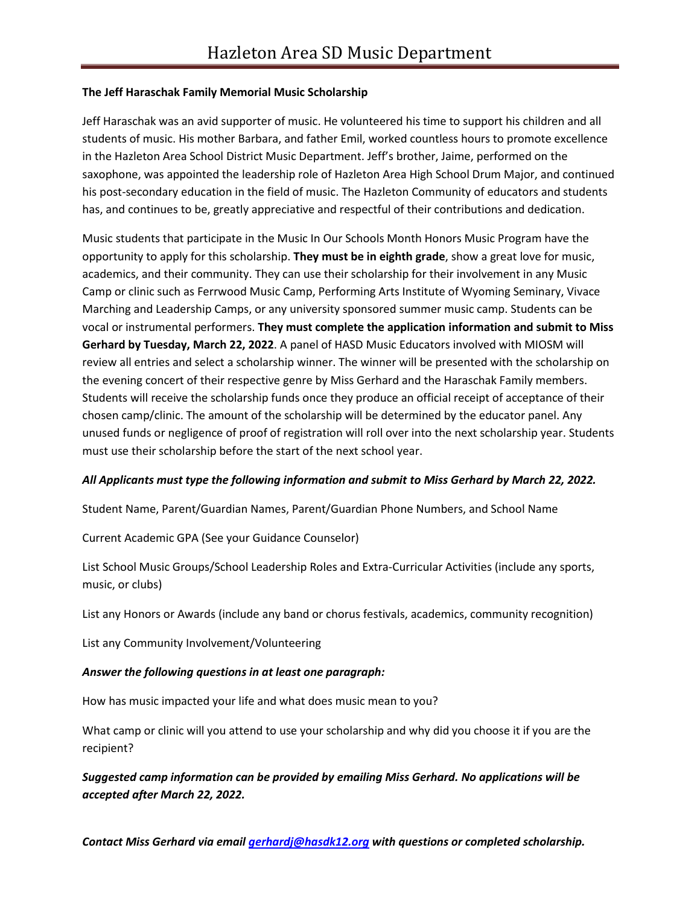## **The Jeff Haraschak Family Memorial Music Scholarship**

Jeff Haraschak was an avid supporter of music. He volunteered his time to support his children and all students of music. His mother Barbara, and father Emil, worked countless hours to promote excellence in the Hazleton Area School District Music Department. Jeff's brother, Jaime, performed on the saxophone, was appointed the leadership role of Hazleton Area High School Drum Major, and continued his post-secondary education in the field of music. The Hazleton Community of educators and students has, and continues to be, greatly appreciative and respectful of their contributions and dedication.

Music students that participate in the Music In Our Schools Month Honors Music Program have the opportunity to apply for this scholarship. **They must be in eighth grade**, show a great love for music, academics, and their community. They can use their scholarship for their involvement in any Music Camp or clinic such as Ferrwood Music Camp, Performing Arts Institute of Wyoming Seminary, Vivace Marching and Leadership Camps, or any university sponsored summer music camp. Students can be vocal or instrumental performers. **They must complete the application information and submit to Miss Gerhard by Tuesday, March 22, 2022**. A panel of HASD Music Educators involved with MIOSM will review all entries and select a scholarship winner. The winner will be presented with the scholarship on the evening concert of their respective genre by Miss Gerhard and the Haraschak Family members. Students will receive the scholarship funds once they produce an official receipt of acceptance of their chosen camp/clinic. The amount of the scholarship will be determined by the educator panel. Any unused funds or negligence of proof of registration will roll over into the next scholarship year. Students must use their scholarship before the start of the next school year.

## *All Applicants must type the following information and submit to Miss Gerhard by March 22, 2022.*

Student Name, Parent/Guardian Names, Parent/Guardian Phone Numbers, and School Name

Current Academic GPA (See your Guidance Counselor)

List School Music Groups/School Leadership Roles and Extra-Curricular Activities (include any sports, music, or clubs)

List any Honors or Awards (include any band or chorus festivals, academics, community recognition)

List any Community Involvement/Volunteering

## *Answer the following questions in at least one paragraph:*

How has music impacted your life and what does music mean to you?

What camp or clinic will you attend to use your scholarship and why did you choose it if you are the recipient?

*Suggested camp information can be provided by emailing Miss Gerhard. No applications will be accepted after March 22, 2022.*

*Contact Miss Gerhard via email [gerhardj@hasdk12.org](mailto:gerhardj@hasdk12.org) with questions or completed scholarship.*